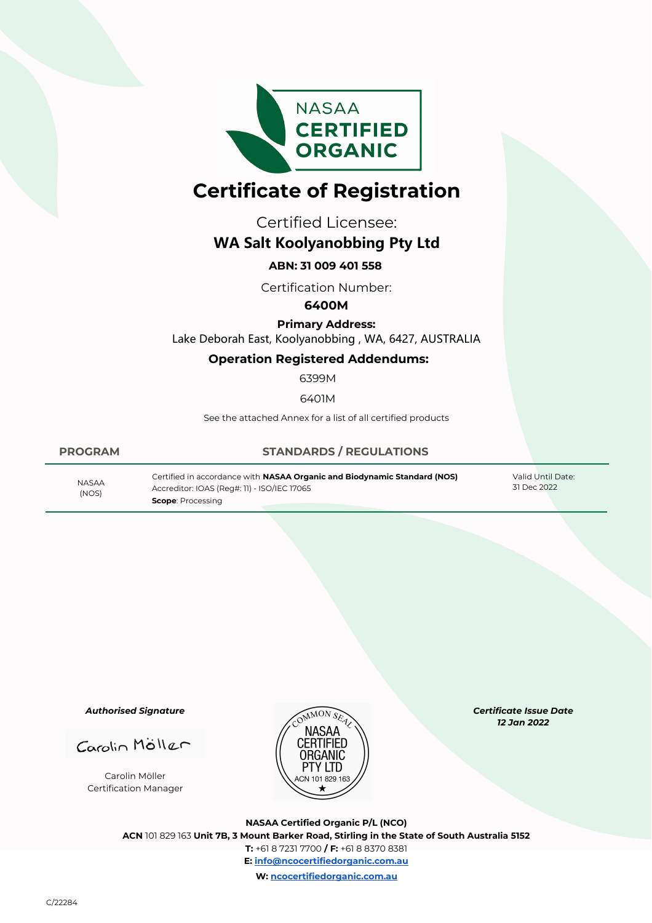

# **Certificate of Registration**

Certified Licensee:

## **WA Salt Koolyanobbing Pty Ltd**

### **ABN: 31 009 401 558**

Certification Number:

#### **6400M**

**Primary Address:** Lake Deborah East, Koolyanobbing , WA, 6427, AUSTRALIA

#### **Operation Registered Addendums:**

6399M

6401M

See the attached Annex for a list of all certified products

(NOS)

#### **PROGRAM STANDARDS / REGULATIONS**

Certified in accordance with **NASAA Organic and Biodynamic Standard (NOS)** Accreditor: IOAS (Reg#: 11) - ISO/IEC 17065 31 Dec 2022 NASAA **Scope**: Processing

Valid Until Date:<br>31 Dec 2022

*Authorised Signature*

Carolin Möller Certification Manager



*Certificate Issue Date 12 Jan 2022* 

**NASAA Certified Organic P/L (NCO) ACN** 101 829 163 **Unit 7B, 3 Mount Barker Road, Stirling in the State of South Australia 5152 T:** +61 8 7231 7700 **/ F:** +61 8 8370 8381 **E: info@ncocertifiedorganic.com.au W: ncocertifiedorganic.com.au**

C/22284